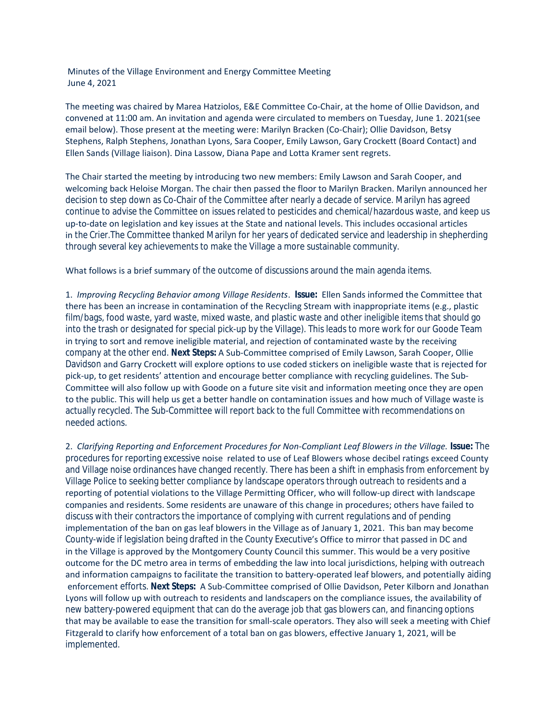Minutes of the Village Environment and Energy Committee Meeting June 4, 2021

The meeting was chaired by Marea Hatziolos, E&E Committee Co-Chair, at the home of Ollie Davidson, and convened at 11:00 am. An invitation and agenda were circulated to members on Tuesday, June 1. 2021(see email below). Those present at the meeting were: Marilyn Bracken (Co-Chair); Ollie Davidson, Betsy Stephens, Ralph Stephens, Jonathan Lyons, Sara Cooper, Emily Lawson, Gary Crockett (Board Contact) and Ellen Sands (Village liaison). Dina Lassow, Diana Pape and Lotta Kramer sent regrets.

The Chair started the meeting by introducing two new members: Emily Lawson and Sarah Cooper, and welcoming back Heloise Morgan. The chair then passed the floor to Marilyn Bracken. Marilyn announced her decision to step down as Co-Chair of the Committee after nearly a decade of service. Marilyn has agreed continue to advise the Committee on issues related to pesticides and chemical/hazardous waste, and keep us up-to-date on legislation and key issues at the State and national levels. This includes occasional articles in *the Crier*.The Committee thanked Marilyn for her years of dedicated service and leadership in shepherding through several key achievements to make the Village a more sustainable community.

What follows is a brief summary of the outcome of discussions around the main agenda items.

1. *Improving Recycling Behavior among Village Residents*. **Issue:** Ellen Sands informed the Committee that there has been an increase in contamination of the Recycling Stream with inappropriate items (e.g., plastic film/bags, food waste, yard waste, mixed waste, and plastic waste and other ineligible items that should go into the trash or designated for special pick-up by the Village). This leads to more work for our Goode Team in trying to sort and remove ineligible material, and rejection of contaminated waste by the receiving company at the other end. **Next Steps:** A Sub-Committee comprised of Emily Lawson, Sarah Cooper, Ollie Davidson and Garry Crockett will explore options to use coded stickers on ineligible waste that is rejected for pick-up, to get residents' attention and encourage better compliance with recycling guidelines. The Sub-Committee will also follow up with Goode on a future site visit and information meeting once they are open to the public. This will help us get a better handle on contamination issues and how much of Village waste is actually recycled. The Sub-Committee will report back to the full Committee with recommendations on needed actions.

2. *Clarifying Reporting and Enforcement Procedures for Non-Compliant Leaf Blowers in the Village.* **Issue:** The procedures for reporting excessive noise related to use of Leaf Blowers whose decibel ratings exceed County and Village noise ordinances have changed recently. There has been a shift in emphasis from enforcement by Village Police to seeking better compliance by landscape operators through outreach to residents and a reporting of potential violations to the Village Permitting Officer, who will follow-up direct with landscape companies and residents. Some residents are unaware of this change in procedures; others have failed to discuss with their contractors the importance of complying with current regulations and of pending implementation of the ban on gas leaf blowers in the Village as of January 1, 2021. This ban may become County-wide if legislation being drafted in the County Executive's Office to mirror that passed in DC and in the Village is approved by the Montgomery County Council this summer. This would be a very positive outcome for the DC metro area in terms of embedding the law into local jurisdictions, helping with outreach and information campaigns to facilitate the transition to battery-operated leaf blowers, and potentially aiding enforcement efforts. **Next Steps:** A Sub-Committee comprised of Ollie Davidson, Peter Kilborn and Jonathan Lyons will follow up with outreach to residents and landscapers on the compliance issues, the availability of new battery-powered equipment that can do the average job that gas blowers can, and financing options that may be available to ease the transition for small-scale operators. They also will seek a meeting with Chief Fitzgerald to clarify how enforcement of a total ban on gas blowers, effective January 1, 2021, will be implemented.